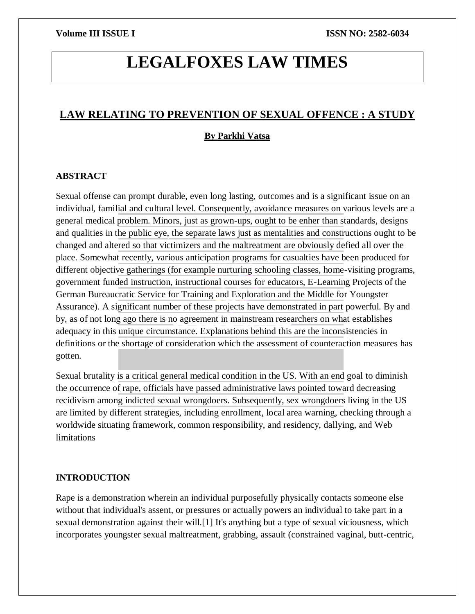# **LEGALFOXES LAW TIMES**

# **LAW RELATING TO PREVENTION OF SEXUAL OFFENCE : A STUDY**

# **By Parkhi Vatsa**

### **ABSTRACT**

Sexual offense can prompt durable, even long lasting, outcomes and is a significant issue on an individual, familial and cultural level. Consequently, avoidance measures on various levels are a general medical problem. Minors, just as grown-ups, ought to be enher than standards, designs and qualities in the public eye, the separate laws just as mentalities and constructions ought to be changed and altered so that victimizers and the maltreatment are obviously defied all over the place. Somewhat recently, various anticipation programs for casualties have been produced for different objective gatherings (for example nurturing schooling classes, home-visiting programs, government funded instruction, instructional courses for educators, E-Learning Projects of the German Bureaucratic Service for Training and Exploration and the Middle for Youngster Assurance). A significant number of these projects have demonstrated in part powerful. By and by, as of not long ago there is no agreement in mainstream researchers on what establishes adequacy in this unique circumstance. Explanations behind this are the inconsistencies in definitions or the shortage of consideration which the assessment of counteraction measures has gotten.

Sexual brutality is a critical general medical condition in the US. With an end goal to diminish the occurrence of rape, officials have passed administrative laws pointed toward decreasing recidivism among indicted sexual wrongdoers. Subsequently, sex wrongdoers living in the US are limited by different strategies, including enrollment, local area warning, checking through a worldwide situating framework, common responsibility, and residency, dallying, and Web limitations

# **INTRODUCTION**

Rape is a demonstration wherein an individual purposefully physically contacts someone else without that individual's assent, or pressures or actually powers an individual to take part in a sexual demonstration against their will.[1] It's anything but a type of sexual viciousness, which incorporates youngster sexual maltreatment, grabbing, assault (constrained vaginal, butt-centric,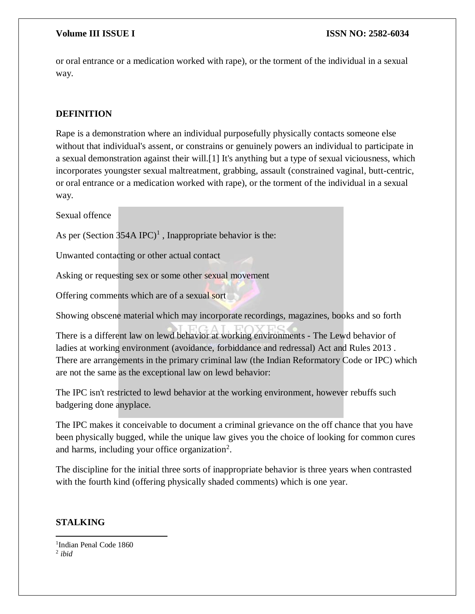or oral entrance or a medication worked with rape), or the torment of the individual in a sexual way.

# **DEFINITION**

Rape is a demonstration where an individual purposefully physically contacts someone else without that individual's assent, or constrains or genuinely powers an individual to participate in a sexual demonstration against their will.[1] It's anything but a type of sexual viciousness, which incorporates youngster sexual maltreatment, grabbing, assault (constrained vaginal, butt-centric, or oral entrance or a medication worked with rape), or the torment of the individual in a sexual way.

Sexual offence

As per (Section  $354A \text{ IPC}$ <sup>1</sup>, Inappropriate behavior is the:

Unwanted contacting or other actual contact

Asking or requesting sex or some other sexual movement

Offering comments which are of a sexual sort

Showing obscene material which may incorporate recordings, magazines, books and so forth

There is a different law on lewd behavior at working environments - The Lewd behavior of ladies at working environment (avoidance, forbiddance and redressal) Act and Rules 2013 . There are arrangements in the primary criminal law (the Indian Reformatory Code or IPC) which are not the same as the exceptional law on lewd behavior:

The IPC isn't restricted to lewd behavior at the working environment, however rebuffs such badgering done anyplace.

The IPC makes it conceivable to document a criminal grievance on the off chance that you have been physically bugged, while the unique law gives you the choice of looking for common cures and harms, including your office organization<sup>2</sup>.

The discipline for the initial three sorts of inappropriate behavior is three years when contrasted with the fourth kind (offering physically shaded comments) which is one year.

# **STALKING**

 $\overline{\phantom{a}}$ 

<sup>1</sup>Indian Penal Code 1860 2 *ibid*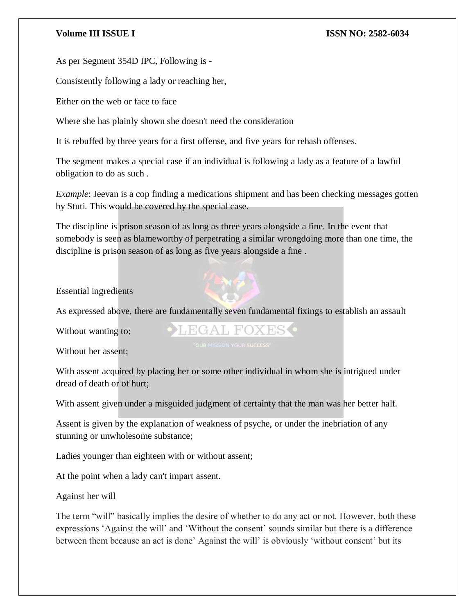As per Segment 354D IPC, Following is -

Consistently following a lady or reaching her,

Either on the web or face to face

Where she has plainly shown she doesn't need the consideration

It is rebuffed by three years for a first offense, and five years for rehash offenses.

The segment makes a special case if an individual is following a lady as a feature of a lawful obligation to do as such .

*Example*: Jeevan is a cop finding a medications shipment and has been checking messages gotten by Stuti. This would be covered by the special case.

The discipline is prison season of as long as three years alongside a fine. In the event that somebody is seen as blameworthy of perpetrating a similar wrongdoing more than one time, the discipline is prison season of as long as five years alongside a fine .

Essential ingredients

As expressed above, there are fundamentally seven fundamental fixings to establish an assault

LEGAL FOXES O

Without wanting to;

Without her assent;

With assent acquired by placing her or some other individual in whom she is intrigued under dread of death or of hurt;

With assent given under a misguided judgment of certainty that the man was her better half.

Assent is given by the explanation of weakness of psyche, or under the inebriation of any stunning or unwholesome substance;

Ladies younger than eighteen with or without assent;

At the point when a lady can't impart assent.

Against her will

The term "will" basically implies the desire of whether to do any act or not. However, both these expressions 'Against the will' and 'Without the consent' sounds similar but there is a difference between them because an act is done' Against the will' is obviously 'without consent' but its

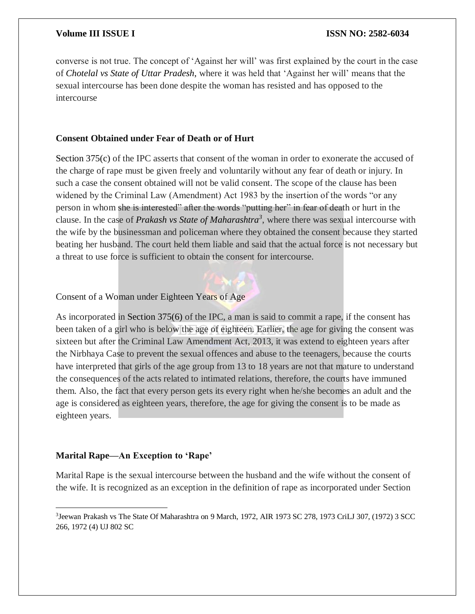converse is not true. The concept of 'Against her will' was first explained by the court in the case of *[Chotelal vs State of Uttar Pradesh](https://indiankanoon.org/doc/128230190/)*, where it was held that 'Against her will' means that the sexual intercourse has been done despite the woman has resisted and has opposed to the intercourse

# **Consent Obtained under Fear of Death or of Hurt**

[Section 375\(c\)](https://indiacode.nic.in/handle/123456789/2263?view_type=browse&sam_handle=123456789/1362) of the IPC asserts that consent of the woman in order to exonerate the accused of the charge of rape must be given freely and voluntarily without any fear of death or injury. In such a case the consent obtained will not be valid consent. The scope of the clause has been widened by the Criminal Law (Amendment) Act 1983 by the insertion of the words "or any person in whom she is interested" after the words "putting her" in fear of death or hurt in the clause. In the case of *[Prakash vs State of Maharashtra](https://indiankanoon.org/doc/636292/)<sup>3</sup>* , where there was sexual intercourse with the wife by the businessman and policeman where they obtained the consent because they started beating her husband. The court held them liable and said that the actual force is not necessary but a threat to use force is sufficient to obtain the consent for intercourse.



Consent of a Woman under Eighteen Years of Age

As incorporated in [Section 375\(6\)](https://indiacode.nic.in/handle/123456789/2263?view_type=browse&sam_handle=123456789/1362) of the IPC, a man is said to commit a rape, if the consent has been taken of a girl who is below the age of eighteen. Earlier, the age for giving the consent was sixteen but after the Criminal Law Amendment Act, 2013, it was extend to eighteen years after the Nirbhaya Case to prevent the sexual offences and abuse to the teenagers, because the courts have interpreted that girls of the age group from 13 to 18 years are not that mature to understand the consequences of the acts related to intimated relations, therefore, the courts have immuned them. Also, the fact that every person gets its every right when he/she becomes an adult and the age is considered as eighteen years, therefore, the age for giving the consent is to be made as eighteen years.

# **Marital Rape—An Exception to 'Rape'**

 $\overline{\phantom{a}}$ 

Marital Rape is the sexual intercourse between the husband and the wife without the consent of the wife. It is recognized as an exception in the definition of rape as incorporated under Section

<sup>&</sup>lt;sup>3</sup> Jeewan Prakash vs The State Of Maharashtra on 9 March, 1972, AIR 1973 SC 278, 1973 CriLJ 307, (1972) 3 SCC 266, 1972 (4) UJ 802 SC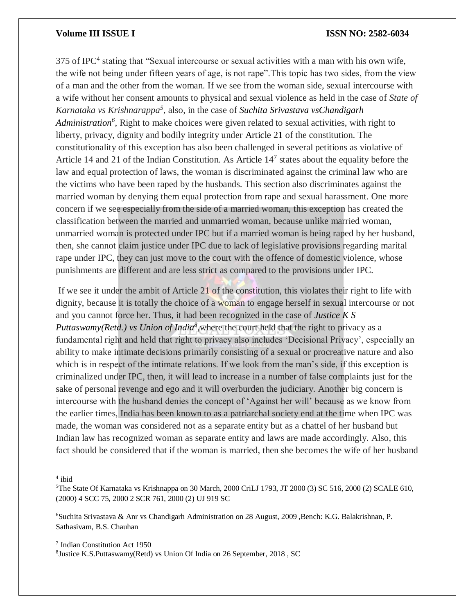375 of IPC<sup>4</sup> stating that "Sexual intercourse or sexual activities with a man with his own wife, the wife not being under fifteen years of age, is not rape".This topic has two sides, from the view of a man and the other from the woman. If we see from the woman side, sexual intercourse with a wife without her consent amounts to physical and sexual violence as held in the case of *State of Karnataka vs Krishnarappa<sup>5</sup>* , also, in the case of *[Suchita Srivastava vsChandigarh](https://indiankanoon.org/doc/1500783/)*  [Administration](https://indiankanoon.org/doc/1500783/)<sup>6</sup>, Right to make choices were given related to sexual activities, with right to liberty, privacy, dignity and bodily integrity under [Article 21](https://www.india.gov.in/sites/upload_files/npi/files/coi_part_full.pdf) of the constitution. The constitutionality of this exception has also been challenged in several petitions as violative of [Article 14](https://www.india.gov.in/sites/upload_files/npi/files/coi_part_full.pdf) and 21 of the Indian Constitution. As Article  $14<sup>7</sup>$  states about the equality before the law and equal protection of laws, the woman is discriminated against the criminal law who are the victims who have been raped by the husbands. This section also discriminates against the married woman by denying them equal protection from rape and sexual harassment. One more concern if we see especially from the side of a married woman, this exception has created the classification between the married and unmarried woman, because unlike married woman, unmarried woman is protected under IPC but if a married woman is being raped by her husband, then, she cannot claim justice under IPC due to lack of legislative provisions regarding marital rape under IPC, they can just move to the court with the offence of domestic violence, whose punishments are different and are less strict as compared to the provisions under IPC.

If we see it under the ambit of Article 21 of the constitution, this violates their right to life with dignity, because it is totally the choice of a woman to engage herself in sexual intercourse or not and you cannot force her. Thus, it had been recognized in the case of *[Justice K S](https://indiankanoon.org/doc/127517806/)*  [Puttaswamy\(Retd.\) vs Union of India](https://indiankanoon.org/doc/127517806/)<sup>8</sup>, where the court held that the right to privacy as a fundamental right and held that right to privacy also includes 'Decisional Privacy', especially an ability to make intimate decisions primarily consisting of a sexual or procreative nature and also which is in respect of the intimate relations. If we look from the man's side, if this exception is criminalized under IPC, then, it will lead to increase in a number of false complaints just for the sake of personal revenge and ego and it will overburden the judiciary. Another big concern is intercourse with the husband denies the concept of 'Against her will' because as we know from the earlier times, India has been known to as a patriarchal society end at the time when IPC was made, the woman was considered not as a separate entity but as a chattel of her husband but Indian law has recognized woman as separate entity and laws are made accordingly. Also, this fact should be considered that if the woman is married, then she becomes the wife of her husband

4 ibid

<sup>5</sup>The State Of Karnataka vs Krishnappa on 30 March, 2000 CriLJ 1793, JT 2000 (3) SC 516, 2000 (2) SCALE 610, (2000) 4 SCC 75, 2000 2 SCR 761, 2000 (2) UJ 919 SC

<sup>6</sup>Suchita Srivastava & Anr vs Chandigarh Administration on 28 August, 2009 ,Bench: K.G. Balakrishnan, P. Sathasivam, B.S. Chauhan

<sup>7</sup> Indian Constitution Act 1950

<sup>8</sup> Justice K.S.Puttaswamy(Retd) vs Union Of India on 26 September, 2018 , SC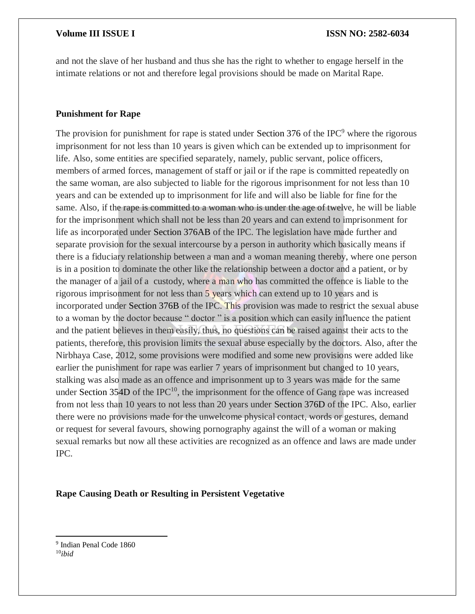and not the slave of her husband and thus she has the right to whether to engage herself in the intimate relations or not and therefore legal provisions should be made on Marital Rape.

### **Punishment for Rape**

The provision for punishment for rape is stated under Section  $376$  of the IPC<sup>9</sup> where the rigorous imprisonment for not less than 10 years is given which can be extended up to imprisonment for life. Also, some entities are specified separately, namely, public servant, police officers, members of armed forces, management of staff or jail or if the rape is committed repeatedly on the same woman, are also subjected to liable for the rigorous imprisonment for not less than 10 years and can be extended up to imprisonment for life and will also be liable for fine for the same. Also, if the rape is committed to a woman who is under the age of twelve, he will be liable for the imprisonment which shall not be less than 20 years and can extend to imprisonment for life as incorporated under [Section 376AB](https://indiacode.nic.in/show-data?actid=AC_CEN_5_23_00037_186045_1523266765688§ionId=47650§ionno=376AB&orderno=427) of the IPC. The legislation have made further and separate provision for the sexual intercourse by a person in authority which basically means if there is a fiduciary relationship between a man and a woman meaning thereby, where one person is in a position to dominate the other like the relationship between a doctor and a patient, or by the manager of a jail of a custody, where a man who has committed the offence is liable to the rigorous imprisonment for not less than 5 years which can extend up to 10 years and is incorporated under [Section 376B](https://indiacode.nic.in/show-data?actid=AC_CEN_5_23_00037_186045_1523266765688§ionId=46154§ionno=376B&orderno=428) of the IPC. This provision was made to restrict the sexual abuse to a woman by the doctor because " doctor " is a position which can easily influence the patient and the patient believes in them easily, thus, no questions can be raised against their acts to the patients, therefore, this provision limits the sexual abuse especially by the doctors. Also, after the Nirbhaya Case, 2012, some provisions were modified and some new provisions were added like earlier the punishment for rape was earlier 7 years of imprisonment but changed to 10 years, stalking was also made as an offence and imprisonment up to 3 years was made for the same under Section  $354D$  of the IPC<sup>10</sup>, the imprisonment for the offence of Gang rape was increased from not less than 10 years to not less than 20 years under [Section 376D](https://indiacode.nic.in/show-data?actid=AC_CEN_5_23_00037_186045_1523266765688§ionId=46156§ionno=376D&orderno=430) of the IPC. Also, earlier there were no provisions made for the unwelcome physical contact, words or gestures, demand or request for several favours, showing pornography against the will of a woman or making sexual remarks but now all these activities are recognized as an offence and laws are made under IPC.

# **Rape Causing Death or Resulting in Persistent Vegetative**

 $\overline{\phantom{a}}$ 

<sup>9</sup> Indian Penal Code 1860 10*ibid*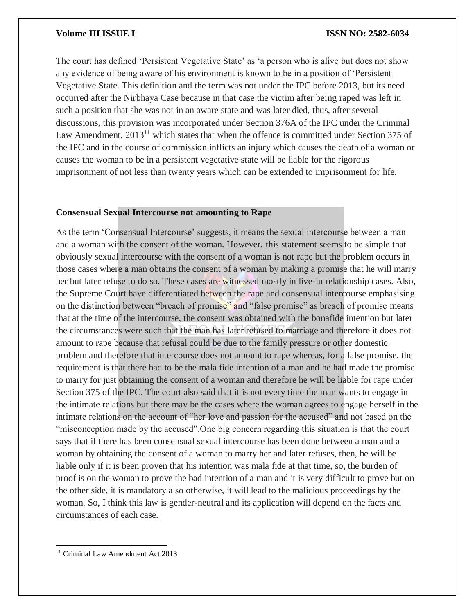The court has defined 'Persistent Vegetative State' as 'a person who is alive but does not show any evidence of being aware of his environment is known to be in a position of 'Persistent Vegetative State. This definition and the term was not under the IPC before 2013, but its need occurred after the Nirbhaya Case because in that case the victim after being raped was left in such a position that she was not in an aware state and was later died, thus, after several discussions, this provision was incorporated under Section 376A of the IPC under the Criminal Law Amendment, 2013<sup>11</sup> which states that when the offence is committed under Section 375 of the IPC and in the course of commission inflicts an injury which causes the death of a woman or causes the woman to be in a persistent vegetative state will be liable for the rigorous imprisonment of not less than twenty years which can be extended to imprisonment for life.

### **Consensual Sexual Intercourse not amounting to Rape**

As the term 'Consensual Intercourse' suggests, it means the sexual intercourse between a man and a woman with the consent of the woman. However, this statement seems to be simple that obviously sexual intercourse with the consent of a woman is not rape but the problem occurs in those cases where a man obtains the consent of a woman by making a promise that he will marry her but later refuse to do so. These cases are witnessed mostly in live-in relationship cases. Also, the Supreme Court have differentiated between the rape and consensual intercourse emphasising on the distinction between "breach of promise" and "false promise" as breach of promise means that at the time of the intercourse, the consent was obtained with the bonafide intention but later the circumstances were such that the man has later refused to marriage and therefore it does not amount to rape because that refusal could be due to the family pressure or other domestic problem and therefore that intercourse does not amount to rape whereas, for a false promise, the requirement is that there had to be the mala fide intention of a man and he had made the promise to marry for just obtaining the consent of a woman and therefore he will be liable for rape under Section 375 of the IPC. The court also said that it is not every time the man wants to engage in the intimate relations but there may be the cases where the woman agrees to engage herself in the intimate relations on the account of "her love and passion for the accused" and not based on the "misconception made by the accused".One big concern regarding this situation is that the court says that if there has been consensual sexual intercourse has been done between a man and a woman by obtaining the consent of a woman to marry her and later refuses, then, he will be liable only if it is been proven that his intention was mala fide at that time, so, the burden of proof is on the woman to prove the bad intention of a man and it is very difficult to prove but on the other side, it is mandatory also otherwise, it will lead to the malicious proceedings by the woman. So, I think this law is gender-neutral and its application will depend on the facts and circumstances of each case.

<sup>&</sup>lt;sup>11</sup> Criminal Law Amendment Act 2013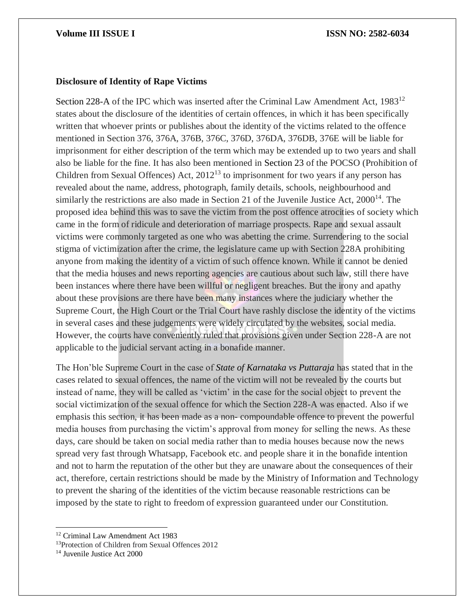### **Disclosure of Identity of Rape Victims**

[Section 228-A](https://indiacode.nic.in/show-data?actid=AC_CEN_5_23_00037_186045_1523266765688§ionId=45987§ionno=228A&orderno=260) of the IPC which was inserted after the Criminal Law Amendment Act, 1983<sup>12</sup> states about the disclosure of the identities of certain offences, in which it has been specifically written that whoever prints or publishes about the identity of the victims related to the offence mentioned in Section 376, 376A, 376B, 376C, 376D, 376DA, 376DB, 376E will be liable for imprisonment for either description of the term which may be extended up to two years and shall also be liable for the fine. It has also been mentioned in [Section 23](https://indiacode.nic.in/show-data?actid=AC_CEN_13_14_00005_201232_1517807323686§ionId=12872§ionno=23&orderno=23) of the POCSO (Prohibition of Children from Sexual Offences) Act,  $2012<sup>13</sup>$  to imprisonment for two years if any person has revealed about the name, address, photograph, family details, schools, neighbourhood and similarly the restrictions are also made in Section 21 of the Juvenile Justice Act, 2000<sup>14</sup>. The proposed idea behind this was to save the victim from the post offence atrocities of society which came in the form of ridicule and deterioration of marriage prospects. Rape and sexual assault victims were commonly targeted as one who was abetting the crime. Surrendering to the social stigma of victimization after the crime, the legislature came up with Section 228A prohibiting anyone from making the identity of a victim of such offence known. While it cannot be denied that the media houses and news reporting agencies are cautious about such law, still there have been instances where there have been willful or negligent breaches. But the irony and apathy about these provisions are there have been many instances where the judiciary whether the Supreme Court, the High Court or the Trial Court have rashly disclose the identity of the victims in several cases and these judgements were widely circulated by the websites, social media. However, the courts have conveniently ruled that provisions given under Section 228-A are not applicable to the judicial servant acting in a bonafide manner.

The Hon'ble Supreme Court in the case of *[State of Karnataka vs Puttaraja](https://indiankanoon.org/doc/46627/)* has stated that in the cases related to sexual offences, the name of the victim will not be revealed by the courts but instead of name, they will be called as 'victim' in the case for the social object to prevent the social victimization of the sexual offence for which the Section 228-A was enacted. Also if we emphasis this section, it has been made as a non- compoundable offence to prevent the powerful media houses from purchasing the victim's approval from money for selling the news. As these days, care should be taken on social media rather than to media houses because now the news spread very fast through Whatsapp, Facebook etc. and people share it in the bonafide intention and not to harm the reputation of the other but they are unaware about the consequences of their act, therefore, certain restrictions should be made by the Ministry of Information and Technology to prevent the sharing of the identities of the victim because reasonable restrictions can be imposed by the state to right to freedom of expression guaranteed under our Constitution.

<sup>&</sup>lt;sup>12</sup> Criminal Law Amendment Act 1983

<sup>&</sup>lt;sup>13</sup>Protection of Children from Sexual Offences 2012

<sup>14</sup> Juvenile Justice Act 2000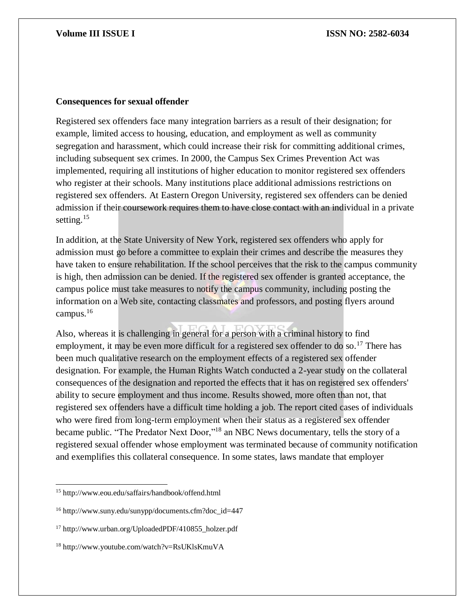### **Consequences for sexual offender**

Registered sex offenders face many integration barriers as a result of their designation; for example, limited access to housing, education, and employment as well as community segregation and harassment, which could increase their risk for committing additional crimes, including subsequent sex crimes. In 2000, the Campus Sex Crimes Prevention Act was implemented, requiring all institutions of higher education to monitor registered sex offenders who register at their schools. Many institutions place additional admissions restrictions on registered sex offenders. At Eastern Oregon University, registered sex offenders can be denied admission if their coursework requires them to have close contact with an individual in a private setting. $15$ 

In addition, at the State University of New York, registered sex offenders who apply for admission must go before a committee to explain their crimes and describe the measures they have taken to ensure rehabilitation. If the school perceives that the risk to the campus community is high, then admission can be denied. If the registered sex offender is granted acceptance, the campus police must take measures to notify the campus community, including posting the information on a Web site, contacting classmates and professors, and posting flyers around campus.<sup>16</sup>

Also, whereas it is challenging in general for a person with a criminal history to find employment, it may be even more difficult for a registered sex offender to do so.<sup>17</sup> There has been much qualitative research on the employment effects of a registered sex offender designation. For example, the Human Rights Watch conducted a 2-year study on the collateral consequences of the designation and reported the effects that it has on registered sex offenders' ability to secure employment and thus income. Results showed, more often than not, that registered sex offenders have a difficult time holding a job. The report cited cases of individuals who were fired from long-term employment when their status as a registered sex offender became public. "The Predator Next Door,"<sup>18</sup> an NBC News documentary, tells the story of a registered sexual offender whose employment was terminated because of community notification and exemplifies this collateral consequence. In some states, laws mandate that employer

<sup>15</sup> http://www.eou.edu/saffairs/handbook/offend.html

<sup>16</sup> http://www.suny.edu/sunypp/documents.cfm?doc\_id=447

<sup>17</sup> http://www.urban.org/UploadedPDF/410855\_holzer.pdf

<sup>18</sup> http://www.youtube.com/watch?v=RsUKlsKmuVA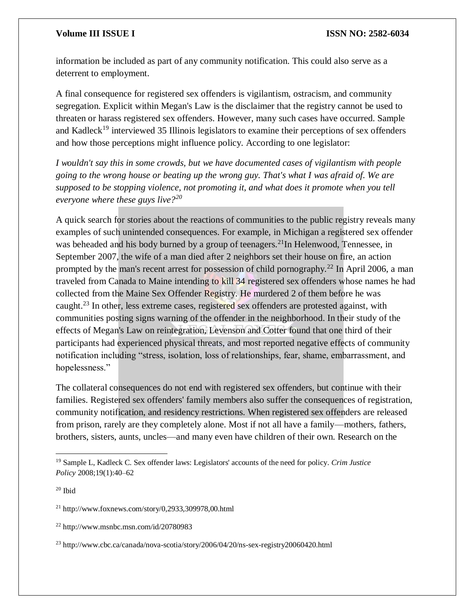information be included as part of any community notification. This could also serve as a deterrent to employment.

A final consequence for registered sex offenders is vigilantism, ostracism, and community segregation. Explicit within Megan's Law is the disclaimer that the registry cannot be used to threaten or harass registered sex offenders. However, many such cases have occurred. Sample and Kadleck<sup>19</sup> interviewed 35 Illinois legislators to examine their perceptions of sex offenders and how those perceptions might influence policy. According to one legislator:

*I wouldn't say this in some crowds, but we have documented cases of vigilantism with people going to the wrong house or beating up the wrong guy. That's what I was afraid of. We are supposed to be stopping violence, not promoting it, and what does it promote when you tell everyone where these guys live?<sup>20</sup>*

A quick search for stories about the reactions of communities to the public registry reveals many examples of such unintended consequences. For example, in Michigan a registered sex offender was beheaded and his body burned by a group of teenagers.<sup>21</sup>In Helenwood, Tennessee, in September 2007, the wife of a man died after 2 neighbors set their house on fire, an action prompted by the man's recent arrest for possession of child pornography.<sup>22</sup> In April 2006, a man traveled from Canada to Maine intending to kill 34 registered sex offenders whose names he had collected from the Maine Sex Offender Registry. He murdered 2 of them before he was caught.<sup>23</sup> In other, less extreme cases, registered sex offenders are protested against, with communities posting signs warning of the offender in the neighborhood. In their study of the effects of Megan's Law on reintegration, Levenson and Cotter found that one third of their participants had experienced physical threats, and most reported negative effects of community notification including "stress, isolation, loss of relationships, fear, shame, embarrassment, and hopelessness."

The collateral consequences do not end with registered sex offenders, but continue with their families. Registered sex offenders' family members also suffer the consequences of registration, community notification, and residency restrictions. When registered sex offenders are released from prison, rarely are they completely alone. Most if not all have a family—mothers, fathers, brothers, sisters, aunts, uncles—and many even have children of their own. Research on the

<sup>19</sup> Sample L, Kadleck C. Sex offender laws: Legislators' accounts of the need for policy. *Crim Justice Policy* 2008;19(1):40–62

<sup>20</sup> Ibid

<sup>21</sup> http://www.foxnews.com/story/0,2933,309978,00.html

 $22$  http://www.msnbc.msn.com/id/20780983

<sup>23</sup> http://www.cbc.ca/canada/nova-scotia/story/2006/04/20/ns-sex-registry20060420.html